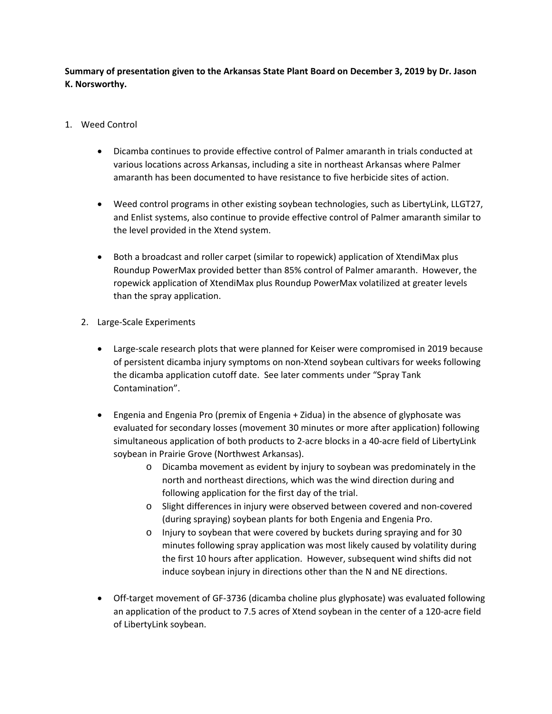**Summary of presentation given to the Arkansas State Plant Board on December 3, 2019 by Dr. Jason K. Norsworthy.** 

- 1. Weed Control
	- Dicamba continues to provide effective control of Palmer amaranth in trials conducted at various locations across Arkansas, including a site in northeast Arkansas where Palmer amaranth has been documented to have resistance to five herbicide sites of action.
	- Weed control programs in other existing soybean technologies, such as LibertyLink, LLGT27, and Enlist systems, also continue to provide effective control of Palmer amaranth similar to the level provided in the Xtend system.
	- Both a broadcast and roller carpet (similar to ropewick) application of XtendiMax plus Roundup PowerMax provided better than 85% control of Palmer amaranth. However, the ropewick application of XtendiMax plus Roundup PowerMax volatilized at greater levels than the spray application.
	- 2. Large‐Scale Experiments
		- Large-scale research plots that were planned for Keiser were compromised in 2019 because of persistent dicamba injury symptoms on non‐Xtend soybean cultivars for weeks following the dicamba application cutoff date. See later comments under "Spray Tank Contamination".
		- Engenia and Engenia Pro (premix of Engenia + Zidua) in the absence of glyphosate was evaluated for secondary losses (movement 30 minutes or more after application) following simultaneous application of both products to 2-acre blocks in a 40-acre field of LibertyLink soybean in Prairie Grove (Northwest Arkansas).
			- o Dicamba movement as evident by injury to soybean was predominately in the north and northeast directions, which was the wind direction during and following application for the first day of the trial.
			- o Slight differences in injury were observed between covered and non‐covered (during spraying) soybean plants for both Engenia and Engenia Pro.
			- o Injury to soybean that were covered by buckets during spraying and for 30 minutes following spray application was most likely caused by volatility during the first 10 hours after application. However, subsequent wind shifts did not induce soybean injury in directions other than the N and NE directions.
		- Off-target movement of GF-3736 (dicamba choline plus glyphosate) was evaluated following an application of the product to 7.5 acres of Xtend soybean in the center of a 120‐acre field of LibertyLink soybean.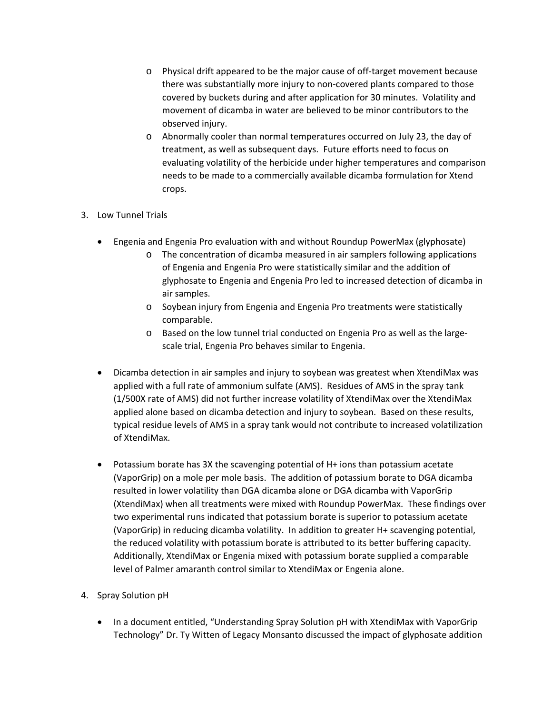- o Physical drift appeared to be the major cause of off‐target movement because there was substantially more injury to non‐covered plants compared to those covered by buckets during and after application for 30 minutes. Volatility and movement of dicamba in water are believed to be minor contributors to the observed injury.
- o Abnormally cooler than normal temperatures occurred on July 23, the day of treatment, as well as subsequent days. Future efforts need to focus on evaluating volatility of the herbicide under higher temperatures and comparison needs to be made to a commercially available dicamba formulation for Xtend crops.

## 3. Low Tunnel Trials

- Engenia and Engenia Pro evaluation with and without Roundup PowerMax (glyphosate)
	- o The concentration of dicamba measured in air samplers following applications of Engenia and Engenia Pro were statistically similar and the addition of glyphosate to Engenia and Engenia Pro led to increased detection of dicamba in air samples.
	- o Soybean injury from Engenia and Engenia Pro treatments were statistically comparable.
	- o Based on the low tunnel trial conducted on Engenia Pro as well as the large‐ scale trial, Engenia Pro behaves similar to Engenia.
- Dicamba detection in air samples and injury to soybean was greatest when XtendiMax was applied with a full rate of ammonium sulfate (AMS). Residues of AMS in the spray tank (1/500X rate of AMS) did not further increase volatility of XtendiMax over the XtendiMax applied alone based on dicamba detection and injury to soybean. Based on these results, typical residue levels of AMS in a spray tank would not contribute to increased volatilization of XtendiMax.
- Potassium borate has 3X the scavenging potential of H+ ions than potassium acetate (VaporGrip) on a mole per mole basis. The addition of potassium borate to DGA dicamba resulted in lower volatility than DGA dicamba alone or DGA dicamba with VaporGrip (XtendiMax) when all treatments were mixed with Roundup PowerMax. These findings over two experimental runs indicated that potassium borate is superior to potassium acetate (VaporGrip) in reducing dicamba volatility. In addition to greater H+ scavenging potential, the reduced volatility with potassium borate is attributed to its better buffering capacity. Additionally, XtendiMax or Engenia mixed with potassium borate supplied a comparable level of Palmer amaranth control similar to XtendiMax or Engenia alone.

## 4. Spray Solution pH

 In a document entitled, "Understanding Spray Solution pH with XtendiMax with VaporGrip Technology" Dr. Ty Witten of Legacy Monsanto discussed the impact of glyphosate addition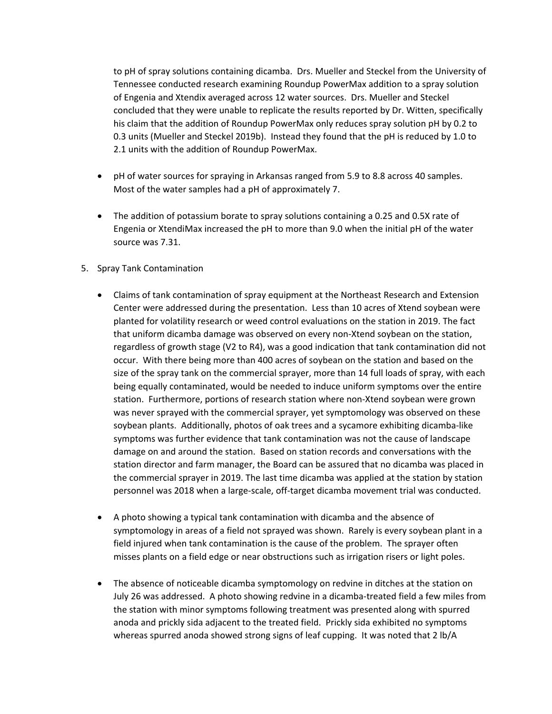to pH of spray solutions containing dicamba. Drs. Mueller and Steckel from the University of Tennessee conducted research examining Roundup PowerMax addition to a spray solution of Engenia and Xtendix averaged across 12 water sources. Drs. Mueller and Steckel concluded that they were unable to replicate the results reported by Dr. Witten, specifically his claim that the addition of Roundup PowerMax only reduces spray solution pH by 0.2 to 0.3 units (Mueller and Steckel 2019b). Instead they found that the pH is reduced by 1.0 to 2.1 units with the addition of Roundup PowerMax.

- pH of water sources for spraying in Arkansas ranged from 5.9 to 8.8 across 40 samples. Most of the water samples had a pH of approximately 7.
- The addition of potassium borate to spray solutions containing a 0.25 and 0.5X rate of Engenia or XtendiMax increased the pH to more than 9.0 when the initial pH of the water source was 7.31.
- 5. Spray Tank Contamination
	- Claims of tank contamination of spray equipment at the Northeast Research and Extension Center were addressed during the presentation. Less than 10 acres of Xtend soybean were planted for volatility research or weed control evaluations on the station in 2019. The fact that uniform dicamba damage was observed on every non‐Xtend soybean on the station, regardless of growth stage (V2 to R4), was a good indication that tank contamination did not occur. With there being more than 400 acres of soybean on the station and based on the size of the spray tank on the commercial sprayer, more than 14 full loads of spray, with each being equally contaminated, would be needed to induce uniform symptoms over the entire station. Furthermore, portions of research station where non‐Xtend soybean were grown was never sprayed with the commercial sprayer, yet symptomology was observed on these soybean plants. Additionally, photos of oak trees and a sycamore exhibiting dicamba-like symptoms was further evidence that tank contamination was not the cause of landscape damage on and around the station. Based on station records and conversations with the station director and farm manager, the Board can be assured that no dicamba was placed in the commercial sprayer in 2019. The last time dicamba was applied at the station by station personnel was 2018 when a large‐scale, off‐target dicamba movement trial was conducted.
	- A photo showing a typical tank contamination with dicamba and the absence of symptomology in areas of a field not sprayed was shown. Rarely is every soybean plant in a field injured when tank contamination is the cause of the problem. The sprayer often misses plants on a field edge or near obstructions such as irrigation risers or light poles.
	- The absence of noticeable dicamba symptomology on redvine in ditches at the station on July 26 was addressed. A photo showing redvine in a dicamba‐treated field a few miles from the station with minor symptoms following treatment was presented along with spurred anoda and prickly sida adjacent to the treated field. Prickly sida exhibited no symptoms whereas spurred anoda showed strong signs of leaf cupping. It was noted that 2 lb/A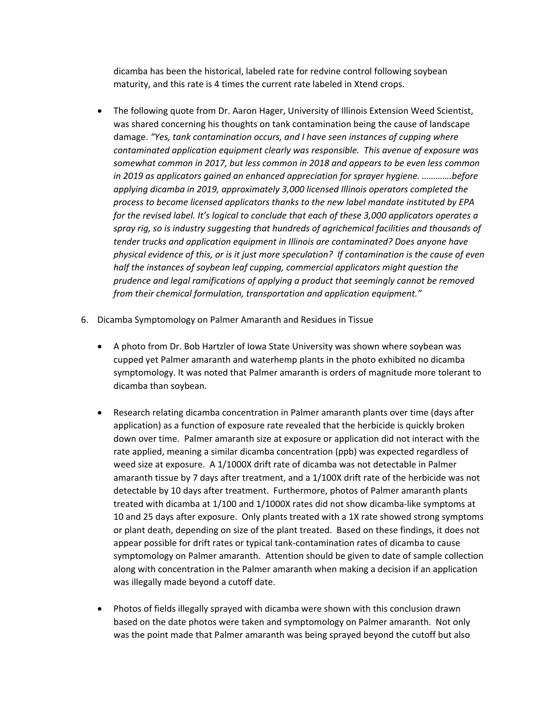dicamba has been the historical, labeled rate for redvine control following soybean maturity, and this rate is 4 times the current rate labeled in Xtend crops.

- The following quote from Dr. Aaron Hager, University of Illinois Extension Weed Scientist, was shared concerning his thoughts on tank contamination being the cause of landscape damage. *"Yes, tank contamination occurs, and I have seen instances of cupping where contaminated application equipment clearly was responsible. This avenue of exposure was somewhat common in 2017, but less common in 2018 and appears to be even less common in 2019 as applicators gained an enhanced appreciation for sprayer hygiene. ………….before applying dicamba in 2019, approximately 3,000 licensed Illinois operators completed the process to become licensed applicators thanks to the new label mandate instituted by EPA for the revised label. It's logical to conclude that each of these 3,000 applicators operates a spray rig, so is industry suggesting that hundreds of agrichemical facilities and thousands of tender trucks and application equipment in Illinois are contaminated? Does anyone have physical evidence of this, or is it just more speculation? If contamination is the cause of even half the instances of soybean leaf cupping, commercial applicators might question the prudence and legal ramifications of applying a product that seemingly cannot be removed from their chemical formulation, transportation and application equipment."*
- 6. Dicamba Symptomology on Palmer Amaranth and Residues in Tissue
	- A photo from Dr. Bob Hartzler of Iowa State University was shown where soybean was cupped yet Palmer amaranth and waterhemp plants in the photo exhibited no dicamba symptomology. It was noted that Palmer amaranth is orders of magnitude more tolerant to dicamba than soybean.
	- Research relating dicamba concentration in Palmer amaranth plants over time (days after application) as a function of exposure rate revealed that the herbicide is quickly broken down over time. Palmer amaranth size at exposure or application did not interact with the rate applied, meaning a similar dicamba concentration (ppb) was expected regardless of weed size at exposure. A 1/1000X drift rate of dicamba was not detectable in Palmer amaranth tissue by 7 days after treatment, and a 1/100X drift rate of the herbicide was not detectable by 10 days after treatment. Furthermore, photos of Palmer amaranth plants treated with dicamba at 1/100 and 1/1000X rates did not show dicamba‐like symptoms at 10 and 25 days after exposure. Only plants treated with a 1X rate showed strong symptoms or plant death, depending on size of the plant treated. Based on these findings, it does not appear possible for drift rates or typical tank‐contamination rates of dicamba to cause symptomology on Palmer amaranth. Attention should be given to date of sample collection along with concentration in the Palmer amaranth when making a decision if an application was illegally made beyond a cutoff date.
	- Photos of fields illegally sprayed with dicamba were shown with this conclusion drawn based on the date photos were taken and symptomology on Palmer amaranth. Not only was the point made that Palmer amaranth was being sprayed beyond the cutoff but also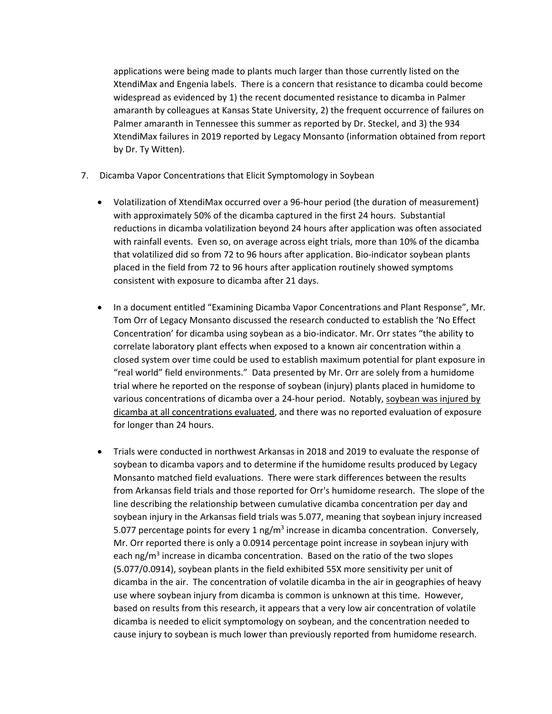applications were being made to plants much larger than those currently listed on the XtendiMax and Engenia labels. There is a concern that resistance to dicamba could become widespread as evidenced by 1) the recent documented resistance to dicamba in Palmer amaranth by colleagues at Kansas State University, 2) the frequent occurrence of failures on Palmer amaranth in Tennessee this summer as reported by Dr. Steckel, and 3) the 934 XtendiMax failures in 2019 reported by Legacy Monsanto (information obtained from report by Dr. Ty Witten).

- 7. Dicamba Vapor Concentrations that Elicit Symptomology in Soybean
	- Volatilization of XtendiMax occurred over a 96‐hour period (the duration of measurement) with approximately 50% of the dicamba captured in the first 24 hours. Substantial reductions in dicamba volatilization beyond 24 hours after application was often associated with rainfall events. Even so, on average across eight trials, more than 10% of the dicamba that volatilized did so from 72 to 96 hours after application. Bio‐indicator soybean plants placed in the field from 72 to 96 hours after application routinely showed symptoms consistent with exposure to dicamba after 21 days.
	- In a document entitled "Examining Dicamba Vapor Concentrations and Plant Response", Mr. Tom Orr of Legacy Monsanto discussed the research conducted to establish the 'No Effect Concentration' for dicamba using soybean as a bio‐indicator. Mr. Orr states "the ability to correlate laboratory plant effects when exposed to a known air concentration within a closed system over time could be used to establish maximum potential for plant exposure in "real world" field environments." Data presented by Mr. Orr are solely from a humidome trial where he reported on the response of soybean (injury) plants placed in humidome to various concentrations of dicamba over a 24‐hour period. Notably, soybean was injured by dicamba at all concentrations evaluated, and there was no reported evaluation of exposure for longer than 24 hours.
	- Trials were conducted in northwest Arkansas in 2018 and 2019 to evaluate the response of soybean to dicamba vapors and to determine if the humidome results produced by Legacy Monsanto matched field evaluations. There were stark differences between the results from Arkansas field trials and those reported for Orr's humidome research. The slope of the line describing the relationship between cumulative dicamba concentration per day and soybean injury in the Arkansas field trials was 5.077, meaning that soybean injury increased 5.077 percentage points for every 1 ng/m<sup>3</sup> increase in dicamba concentration. Conversely, Mr. Orr reported there is only a 0.0914 percentage point increase in soybean injury with each ng/m<sup>3</sup> increase in dicamba concentration. Based on the ratio of the two slopes (5.077/0.0914), soybean plants in the field exhibited 55X more sensitivity per unit of dicamba in the air. The concentration of volatile dicamba in the air in geographies of heavy use where soybean injury from dicamba is common is unknown at this time. However, based on results from this research, it appears that a very low air concentration of volatile dicamba is needed to elicit symptomology on soybean, and the concentration needed to cause injury to soybean is much lower than previously reported from humidome research.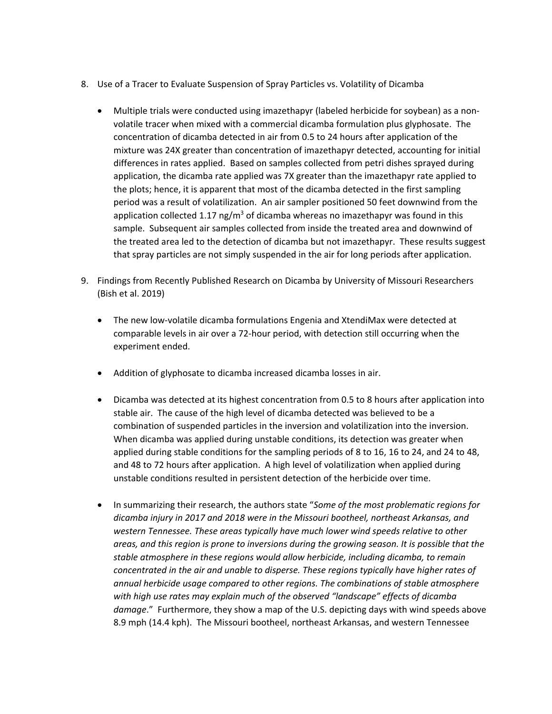- 8. Use of a Tracer to Evaluate Suspension of Spray Particles vs. Volatility of Dicamba
	- Multiple trials were conducted using imazethapyr (labeled herbicide for soybean) as a nonvolatile tracer when mixed with a commercial dicamba formulation plus glyphosate. The concentration of dicamba detected in air from 0.5 to 24 hours after application of the mixture was 24X greater than concentration of imazethapyr detected, accounting for initial differences in rates applied. Based on samples collected from petri dishes sprayed during application, the dicamba rate applied was 7X greater than the imazethapyr rate applied to the plots; hence, it is apparent that most of the dicamba detected in the first sampling period was a result of volatilization. An air sampler positioned 50 feet downwind from the application collected 1.17 ng/m<sup>3</sup> of dicamba whereas no imazethapyr was found in this sample. Subsequent air samples collected from inside the treated area and downwind of the treated area led to the detection of dicamba but not imazethapyr. These results suggest that spray particles are not simply suspended in the air for long periods after application.
- 9. Findings from Recently Published Research on Dicamba by University of Missouri Researchers (Bish et al. 2019)
	- The new low‐volatile dicamba formulations Engenia and XtendiMax were detected at comparable levels in air over a 72‐hour period, with detection still occurring when the experiment ended.
	- Addition of glyphosate to dicamba increased dicamba losses in air.
	- Dicamba was detected at its highest concentration from 0.5 to 8 hours after application into stable air. The cause of the high level of dicamba detected was believed to be a combination of suspended particles in the inversion and volatilization into the inversion. When dicamba was applied during unstable conditions, its detection was greater when applied during stable conditions for the sampling periods of 8 to 16, 16 to 24, and 24 to 48, and 48 to 72 hours after application. A high level of volatilization when applied during unstable conditions resulted in persistent detection of the herbicide over time.
	- In summarizing their research, the authors state "*Some of the most problematic regions for dicamba injury in 2017 and 2018 were in the Missouri bootheel, northeast Arkansas, and western Tennessee. These areas typically have much lower wind speeds relative to other areas, and this region is prone to inversions during the growing season. It is possible that the stable atmosphere in these regions would allow herbicide, including dicamba, to remain concentrated in the air and unable to disperse. These regions typically have higher rates of annual herbicide usage compared to other regions. The combinations of stable atmosphere with high use rates may explain much of the observed "landscape" effects of dicamba damage*." Furthermore, they show a map of the U.S. depicting days with wind speeds above 8.9 mph (14.4 kph). The Missouri bootheel, northeast Arkansas, and western Tennessee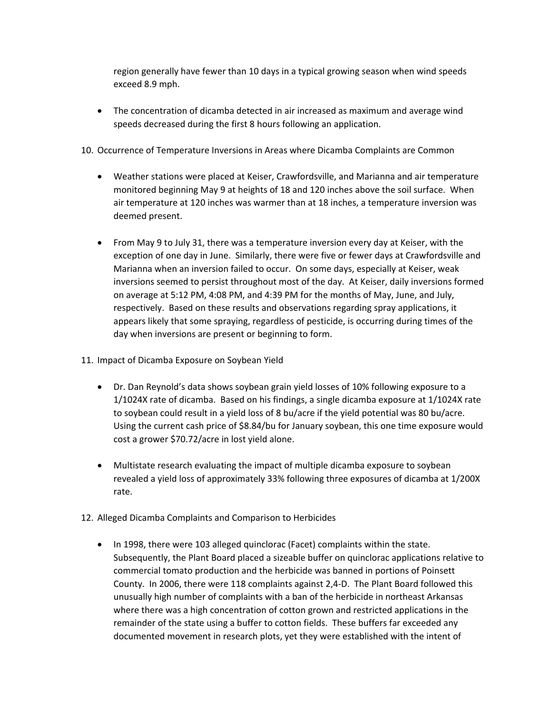region generally have fewer than 10 days in a typical growing season when wind speeds exceed 8.9 mph.

- The concentration of dicamba detected in air increased as maximum and average wind speeds decreased during the first 8 hours following an application.
- 10. Occurrence of Temperature Inversions in Areas where Dicamba Complaints are Common
	- Weather stations were placed at Keiser, Crawfordsville, and Marianna and air temperature monitored beginning May 9 at heights of 18 and 120 inches above the soil surface. When air temperature at 120 inches was warmer than at 18 inches, a temperature inversion was deemed present.
	- From May 9 to July 31, there was a temperature inversion every day at Keiser, with the exception of one day in June. Similarly, there were five or fewer days at Crawfordsville and Marianna when an inversion failed to occur. On some days, especially at Keiser, weak inversions seemed to persist throughout most of the day. At Keiser, daily inversions formed on average at 5:12 PM, 4:08 PM, and 4:39 PM for the months of May, June, and July, respectively. Based on these results and observations regarding spray applications, it appears likely that some spraying, regardless of pesticide, is occurring during times of the day when inversions are present or beginning to form.
- 11. Impact of Dicamba Exposure on Soybean Yield
	- Dr. Dan Reynold's data shows soybean grain yield losses of 10% following exposure to a 1/1024X rate of dicamba. Based on his findings, a single dicamba exposure at 1/1024X rate to soybean could result in a yield loss of 8 bu/acre if the yield potential was 80 bu/acre. Using the current cash price of \$8.84/bu for January soybean, this one time exposure would cost a grower \$70.72/acre in lost yield alone.
	- Multistate research evaluating the impact of multiple dicamba exposure to soybean revealed a yield loss of approximately 33% following three exposures of dicamba at 1/200X rate.
- 12. Alleged Dicamba Complaints and Comparison to Herbicides
	- In 1998, there were 103 alleged quinclorac (Facet) complaints within the state. Subsequently, the Plant Board placed a sizeable buffer on quinclorac applications relative to commercial tomato production and the herbicide was banned in portions of Poinsett County. In 2006, there were 118 complaints against 2,4‐D. The Plant Board followed this unusually high number of complaints with a ban of the herbicide in northeast Arkansas where there was a high concentration of cotton grown and restricted applications in the remainder of the state using a buffer to cotton fields. These buffers far exceeded any documented movement in research plots, yet they were established with the intent of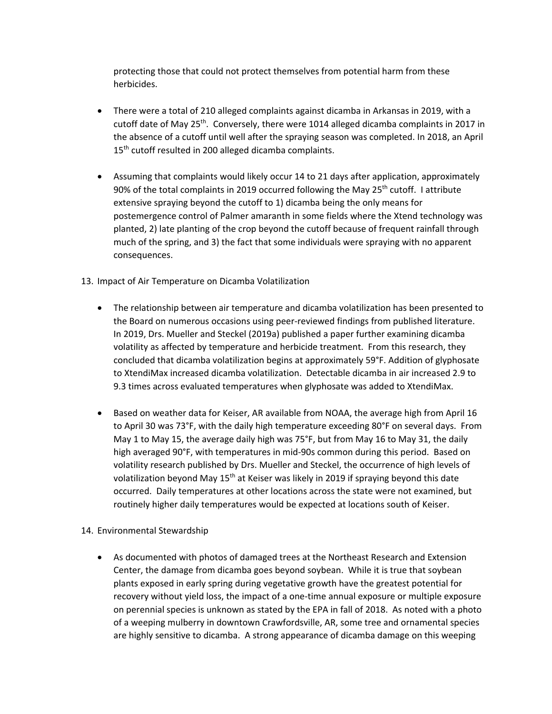protecting those that could not protect themselves from potential harm from these herbicides.

- There were a total of 210 alleged complaints against dicamba in Arkansas in 2019, with a cutoff date of May 25<sup>th</sup>. Conversely, there were 1014 alleged dicamba complaints in 2017 in the absence of a cutoff until well after the spraying season was completed. In 2018, an April 15<sup>th</sup> cutoff resulted in 200 alleged dicamba complaints.
- Assuming that complaints would likely occur 14 to 21 days after application, approximately 90% of the total complaints in 2019 occurred following the May 25<sup>th</sup> cutoff. I attribute extensive spraying beyond the cutoff to 1) dicamba being the only means for postemergence control of Palmer amaranth in some fields where the Xtend technology was planted, 2) late planting of the crop beyond the cutoff because of frequent rainfall through much of the spring, and 3) the fact that some individuals were spraying with no apparent consequences.
- 13. Impact of Air Temperature on Dicamba Volatilization
	- The relationship between air temperature and dicamba volatilization has been presented to the Board on numerous occasions using peer‐reviewed findings from published literature. In 2019, Drs. Mueller and Steckel (2019a) published a paper further examining dicamba volatility as affected by temperature and herbicide treatment. From this research, they concluded that dicamba volatilization begins at approximately 59°F. Addition of glyphosate to XtendiMax increased dicamba volatilization. Detectable dicamba in air increased 2.9 to 9.3 times across evaluated temperatures when glyphosate was added to XtendiMax.
	- Based on weather data for Keiser, AR available from NOAA, the average high from April 16 to April 30 was 73°F, with the daily high temperature exceeding 80°F on several days. From May 1 to May 15, the average daily high was 75°F, but from May 16 to May 31, the daily high averaged 90°F, with temperatures in mid-90s common during this period. Based on volatility research published by Drs. Mueller and Steckel, the occurrence of high levels of volatilization beyond May  $15<sup>th</sup>$  at Keiser was likely in 2019 if spraying beyond this date occurred. Daily temperatures at other locations across the state were not examined, but routinely higher daily temperatures would be expected at locations south of Keiser.
- 14. Environmental Stewardship
	- As documented with photos of damaged trees at the Northeast Research and Extension Center, the damage from dicamba goes beyond soybean. While it is true that soybean plants exposed in early spring during vegetative growth have the greatest potential for recovery without yield loss, the impact of a one‐time annual exposure or multiple exposure on perennial species is unknown as stated by the EPA in fall of 2018. As noted with a photo of a weeping mulberry in downtown Crawfordsville, AR, some tree and ornamental species are highly sensitive to dicamba. A strong appearance of dicamba damage on this weeping